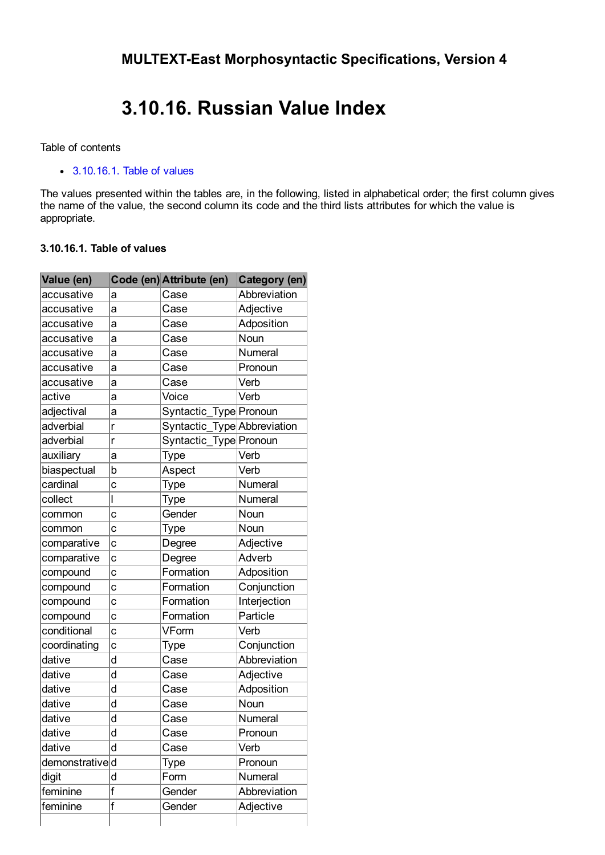## 3.10.16. Russian Value Index

Table of contents

[3.10.16.1.](#page-0-0) Table of values

The values presented within the tables are, in the following, listed in alphabetical order; the first column gives the name of the value, the second column its code and the third lists attributes for which the value is appropriate.

## <span id="page-0-0"></span>3.10.16.1. Table of values

| Value (en)     |                | Code (en) Attribute (en)    | Category (en) |
|----------------|----------------|-----------------------------|---------------|
| accusative     | а              | Case                        | Abbreviation  |
| accusative     | a              | Case                        | Adjective     |
| accusative     | a              | Case                        | Adposition    |
| accusative     | a              | Case                        | Noun          |
| accusative     | a              | Case                        | Numeral       |
| accusative     | a              | Case                        | Pronoun       |
| accusative     | a              | Case                        | Verb          |
| active         | a              | Voice                       | Verb          |
| adjectival     | a              | Syntactic_Type Pronoun      |               |
| adverbial      | r              | Syntactic_Type Abbreviation |               |
| adverbial      | r              | Syntactic_Type Pronoun      |               |
| auxiliary      | a              | Type                        | Verb          |
| biaspectual    | b              | Aspect                      | Verb          |
| cardinal       | $\overline{c}$ | Type                        | Numeral       |
| collect        | I              | Type                        | Numeral       |
| common         | C              | Gender                      | Noun          |
| common         | C              | <b>Type</b>                 | Noun          |
| comparative    | $\ddot{c}$     | Degree                      | Adjective     |
| comparative    | $\ddot{c}$     | Degree                      | Adverb        |
| compound       | c              | Formation                   | Adposition    |
| compound       | c              | Formation                   | Conjunction   |
| compound       | C              | Formation                   | Interjection  |
| compound       | C              | Formation                   | Particle      |
| conditional    | C              | VForm                       | Verb          |
| coordinating   | C              | Type                        | Conjunction   |
| dative         | d              | Case                        | Abbreviation  |
| dative         | d              | Case                        | Adjective     |
| dative         | d              | Case                        | Adposition    |
| dative         | d              | Case                        | Noun          |
| dative         | d              | Case                        | Numeral       |
| dative         | d              | Case                        | Pronoun       |
| dative         | d              | Case                        | Verb          |
| demonstratived |                | Type                        | Pronoun       |
| digit          | d              | Form                        | Numeral       |
| feminine       | f              | Gender                      | Abbreviation  |
| feminine       | f              | Gender                      | Adjective     |
|                |                |                             |               |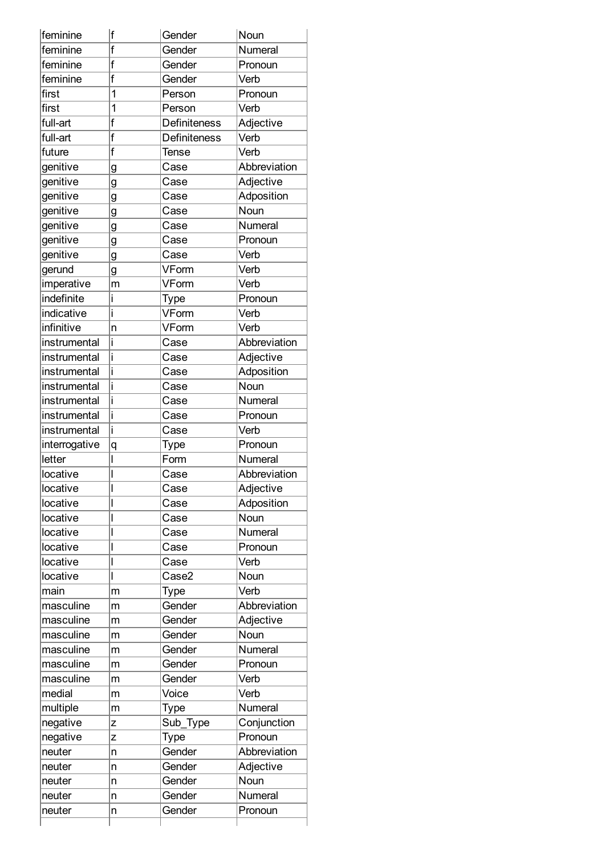| feminine      | f  | Gender              | Noun         |
|---------------|----|---------------------|--------------|
| feminine      | f  | Gender              | Numeral      |
| feminine      | f  | Gender              | Pronoun      |
| feminine      | f  | Gender              | Verb         |
| first         | 1  | Person              | Pronoun      |
| first         | 1  | Person              | Verb         |
| full-art      | f  | <b>Definiteness</b> | Adjective    |
| full-art      | f  | <b>Definiteness</b> | Verb         |
| future        | f  | <b>Tense</b>        | Verb         |
| genitive      | g  | Case                | Abbreviation |
| genitive      | g  | Case                | Adjective    |
| genitive      | g  | Case                | Adposition   |
| genitive      | g  | Case                | Noun         |
| genitive      | g  | Case                | Numeral      |
| genitive      | g  | Case                | Pronoun      |
| genitive      | g  | Case                | Verb         |
| gerund        | g  | VForm               | Verb         |
| imperative    | m  | VForm               | Verb         |
| indefinite    | i  | Type                | Pronoun      |
| indicative    | i  | VForm               | Verb         |
| infinitive    | 'n | VForm               | Verb         |
| instrumental  | i  | Case                | Abbreviation |
| instrumental  | i  | Case                | Adjective    |
| instrumental  | i  | Case                | Adposition   |
| instrumental  | i  | Case                | Noun         |
| instrumental  | i  | Case                | Numeral      |
| instrumental  | İ  | Case                | Pronoun      |
| instrumental  | İ. | Case                | Verb         |
| interrogative | q  | Type                | Pronoun      |
| letter        |    | Form                | Numeral      |
| locative      |    | Case                | Abbreviation |
| locative      |    | Case                | Adjective    |
| locative      |    | Case                | Adposition   |
| locative      |    | Case                | Noun         |
| locative      |    |                     | Numeral      |
|               |    | Case                |              |
| locative      |    | Case                | Pronoun      |
| locative      |    | Case                | Verb         |
| locative      |    | Case2               | Noun         |
| main          | m  | Type                | Verb         |
| masculine     | m  | Gender              | Abbreviation |
| masculine     | m  | Gender              | Adjective    |
| masculine     | m  | Gender              | Noun         |
| masculine     | m  | Gender              | Numeral      |
| masculine     | m  | Gender              | Pronoun      |
| masculine     | m  | Gender              | Verb         |
| medial        | m  | Voice               | Verb         |
| multiple      | m  | Type                | Numeral      |
| negative      | Z  | Sub_Type            | Conjunction  |
| negative      | Z  | Type                | Pronoun      |
| neuter        | n  | Gender              | Abbreviation |
| neuter        | n  | Gender              | Adjective    |
| neuter        | n  | Gender              | Noun         |
|               | n  | Gender              | Numeral      |
| neuter        |    |                     |              |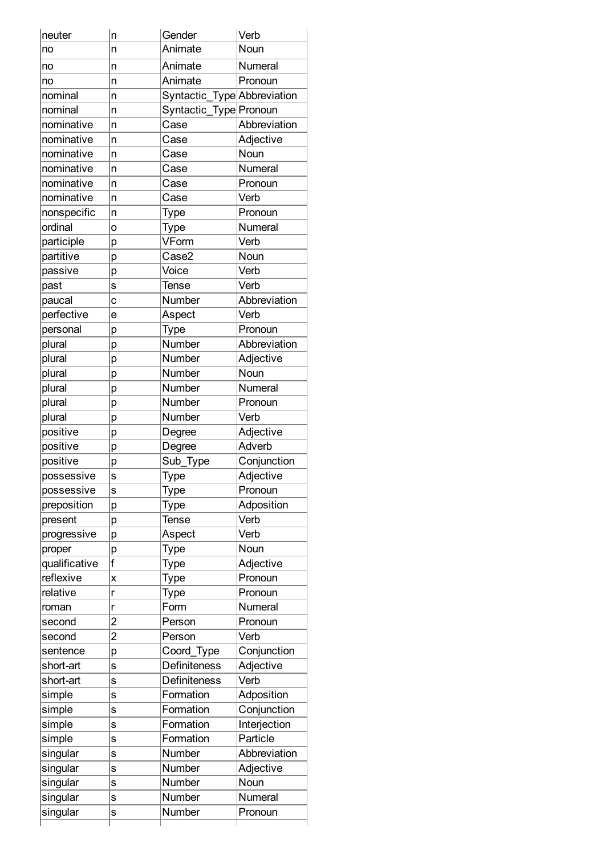| neuter        | $\overline{\mathsf{n}}$ | Gender                      | Verb         |
|---------------|-------------------------|-----------------------------|--------------|
| no            | n                       | Animate                     | Noun         |
| no            | 'n                      | Animate                     | Numeral      |
| no            | 'n                      | Animate                     | Pronoun      |
| nominal       | n                       | Syntactic_Type Abbreviation |              |
| nominal       | 'n                      | Syntactic_Type Pronoun      |              |
| nominative    | n                       | Case                        | Abbreviation |
| nominative    | 'n                      | Case                        | Adjective    |
| nominative    | 'n                      | Case                        | Noun         |
| nominative    | n                       | Case                        | Numeral      |
| nominative    | 'n                      | Case                        | Pronoun      |
| nominative    | n                       | Case                        | Verb         |
| nonspecific   | n                       | Type                        | Pronoun      |
| ordinal       | $\circ$                 | Type                        | Numeral      |
| participle    | p                       | VForm                       | Verb         |
| partitive     | р                       | Case2                       | Noun         |
| passive       | р                       | Voice                       | Verb         |
| past          | S                       | Tense                       | Verb         |
| paucal        | $\mathbf c$             | Number                      | Abbreviation |
| perfective    | e                       | Aspect                      | Verb         |
| personal      |                         | Type                        | Pronoun      |
| plural        | р                       | Number                      | Abbreviation |
| plural        | p                       | <b>Number</b>               | Adjective    |
| plural        | p                       | Number                      | Noun         |
|               | p                       |                             |              |
| plural        | p                       | Number                      | Numeral      |
| plural        | р                       | Number                      | Pronoun      |
| plural        | p                       | Number                      | Verb         |
| positive      | p                       | Degree                      | Adjective    |
| positive      | p                       | Degree                      | Adverb       |
| positive      | p                       | Sub_Type                    | Conjunction  |
| possessive    | S                       | Type                        | Adjective    |
| possessive    | S                       | Type                        | Pronoun      |
| preposition   | p                       | Type                        | Adposition   |
| present       | p                       | Tense                       | Verb         |
| progressive   | p                       | Aspect                      | Verb         |
| proper        | р                       | Type                        | Noun         |
| qualificative | f                       | Type                        | Adjective    |
| reflexive     | X                       | Type                        | Pronoun      |
| relative      | r                       | Type                        | Pronoun      |
| roman         | r                       | Form                        | Numeral      |
| second        | $\overline{2}$          | Person                      | Pronoun      |
| second        | $\overline{2}$          | Person                      | Verb         |
| sentence      | p                       | Coord_Type                  | Conjunction  |
| short-art     | S                       | Definiteness                | Adjective    |
| short-art     | S                       | <b>Definiteness</b>         | Verb         |
| simple        | S                       | Formation                   | Adposition   |
| simple        | S                       | Formation                   | Conjunction  |
| simple        | S                       | Formation                   | Interjection |
| simple        | S                       | Formation                   | Particle     |
| singular      | $\mathbf s$             | Number                      | Abbreviation |
| singular      | S                       | Number                      | Adjective    |
| singular      | S                       | Number                      | Noun         |
| singular      | S                       | Number                      | Numeral      |
| singular      | S                       | Number                      | Pronoun      |
|               |                         |                             |              |